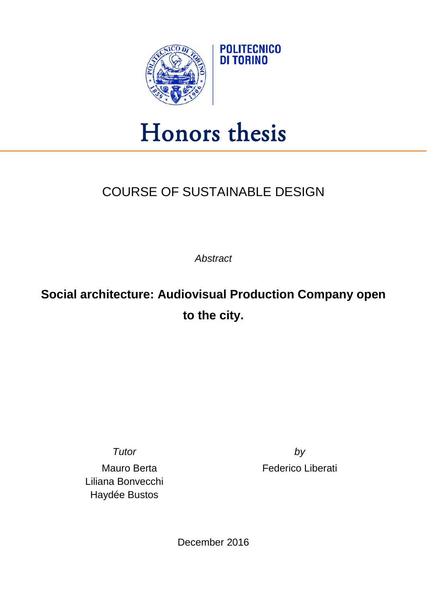

## Honors thesis

## COURSE OF SUSTAINABLE DESIGN

*Abstract*

**Social architecture: Audiovisual Production Company open to the city.**

Liliana Bonvecchi Haydée Bustos

*Tutor by* Mauro Berta **Federico** Liberati

December 2016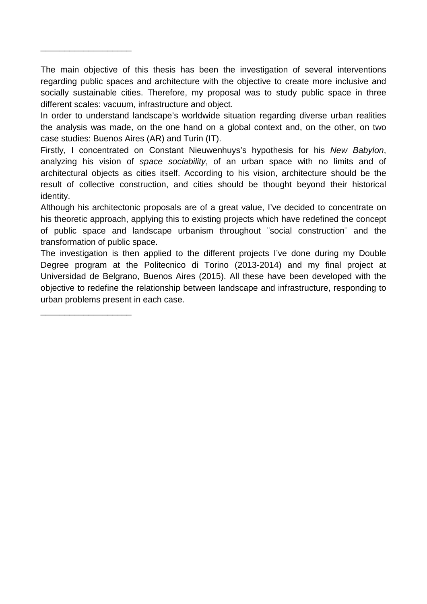The main objective of this thesis has been the investigation of several interventions regarding public spaces and architecture with the objective to create more inclusive and socially sustainable cities. Therefore, my proposal was to study public space in three different scales: vacuum, infrastructure and object.

\_\_\_\_\_\_\_\_\_\_\_\_\_\_\_\_\_\_\_

\_\_\_\_\_\_\_\_\_\_\_\_\_\_\_\_\_\_\_

In order to understand landscape's worldwide situation regarding diverse urban realities the analysis was made, on the one hand on a global context and, on the other, on two case studies: Buenos Aires (AR) and Turin (IT).

Firstly, I concentrated on Constant Nieuwenhuys's hypothesis for his *New Babylon*, analyzing his vision of *space sociability*, of an urban space with no limits and of architectural objects as cities itself. According to his vision, architecture should be the result of collective construction, and cities should be thought beyond their historical identity.

Although his architectonic proposals are of a great value, I've decided to concentrate on his theoretic approach, applying this to existing projects which have redefined the concept of public space and landscape urbanism throughout ¨social construction¨ and the transformation of public space.

The investigation is then applied to the different projects I've done during my Double Degree program at the Politecnico di Torino (2013-2014) and my final project at Universidad de Belgrano, Buenos Aires (2015). All these have been developed with the objective to redefine the relationship between landscape and infrastructure, responding to urban problems present in each case.